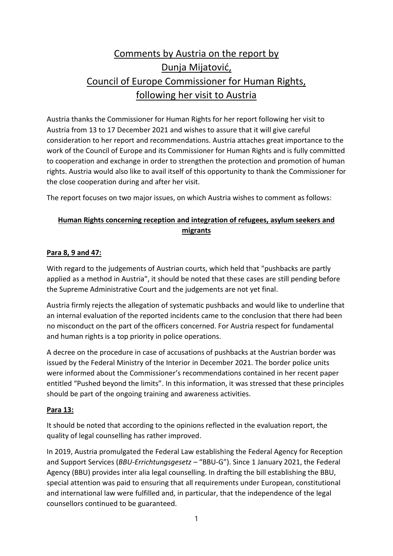# Comments by Austria on the report by Dunja Mijatović, Council of Europe Commissioner for Human Rights, following her visit to Austria

Austria thanks the Commissioner for Human Rights for her report following her visit to Austria from 13 to 17 December 2021 and wishes to assure that it will give careful consideration to her report and recommendations. Austria attaches great importance to the work of the Council of Europe and its Commissioner for Human Rights and is fully committed to cooperation and exchange in order to strengthen the protection and promotion of human rights. Austria would also like to avail itself of this opportunity to thank the Commissioner for the close cooperation during and after her visit.

The report focuses on two major issues, on which Austria wishes to comment as follows:

## **Human Rights concerning reception and integration of refugees, asylum seekers and migrants**

#### **Para 8, 9 and 47:**

With regard to the judgements of Austrian courts, which held that "pushbacks are partly applied as a method in Austria", it should be noted that these cases are still pending before the Supreme Administrative Court and the judgements are not yet final.

Austria firmly rejects the allegation of systematic pushbacks and would like to underline that an internal evaluation of the reported incidents came to the conclusion that there had been no misconduct on the part of the officers concerned. For Austria respect for fundamental and human rights is a top priority in police operations.

A decree on the procedure in case of accusations of pushbacks at the Austrian border was issued by the Federal Ministry of the Interior in December 2021. The border police units were informed about the Commissioner's recommendations contained in her recent paper entitled "Pushed beyond the limits". In this information, it was stressed that these principles should be part of the ongoing training and awareness activities.

#### **Para 13:**

It should be noted that according to the opinions reflected in the evaluation report, the quality of legal counselling has rather improved.

In 2019, Austria promulgated the Federal Law establishing the Federal Agency for Reception and Support Services (*BBU-Errichtungsgesetz –* "BBU-G"). Since 1 January 2021, the Federal Agency (BBU) provides inter alia legal counselling. In drafting the bill establishing the BBU, special attention was paid to ensuring that all requirements under European, constitutional and international law were fulfilled and, in particular, that the independence of the legal counsellors continued to be guaranteed.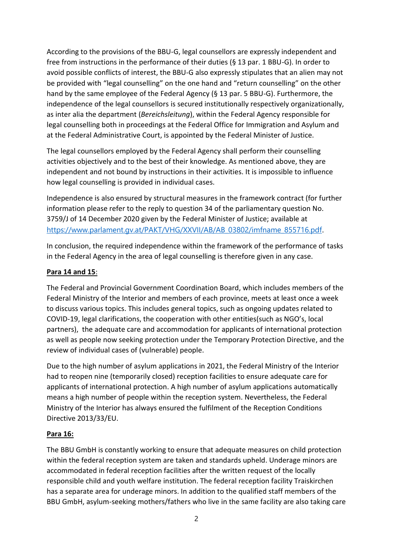According to the provisions of the BBU-G, legal counsellors are expressly independent and free from instructions in the performance of their duties (§ 13 par. 1 BBU-G). In order to avoid possible conflicts of interest, the BBU-G also expressly stipulates that an alien may not be provided with "legal counselling" on the one hand and "return counselling" on the other hand by the same employee of the Federal Agency (§ 13 par. 5 BBU-G). Furthermore, the independence of the legal counsellors is secured institutionally respectively organizationally, as inter alia the department (*Bereichsleitung*), within the Federal Agency responsible for legal counselling both in proceedings at the Federal Office for Immigration and Asylum and at the Federal Administrative Court, is appointed by the Federal Minister of Justice.

The legal counsellors employed by the Federal Agency shall perform their counselling activities objectively and to the best of their knowledge. As mentioned above, they are independent and not bound by instructions in their activities. It is impossible to influence how legal counselling is provided in individual cases.

Independence is also ensured by structural measures in the framework contract (for further information please refer to the reply to question 34 of the parliamentary question No. 3759/J of 14 December 2020 given by the Federal Minister of Justice; available at [https://www.parlament.gv.at/PAKT/VHG/XXVII/AB/AB\\_03802/imfname\\_855716.pdf](https://www.parlament.gv.at/PAKT/VHG/XXVII/AB/AB_03802/imfname_855716.pdf).

In conclusion, the required independence within the framework of the performance of tasks in the Federal Agency in the area of legal counselling is therefore given in any case.

#### **Para 14 and 15**:

The Federal and Provincial Government Coordination Board, which includes members of the Federal Ministry of the Interior and members of each province, meets at least once a week to discuss various topics. This includes general topics, such as ongoing updates related to COVID-19, legal clarifications, the cooperation with other entities(such as NGO's, local partners), the adequate care and accommodation for applicants of international protection as well as people now seeking protection under the Temporary Protection Directive, and the review of individual cases of (vulnerable) people.

Due to the high number of asylum applications in 2021, the Federal Ministry of the Interior had to reopen nine (temporarily closed) reception facilities to ensure adequate care for applicants of international protection. A high number of asylum applications automatically means a high number of people within the reception system. Nevertheless, the Federal Ministry of the Interior has always ensured the fulfilment of the Reception Conditions Directive 2013/33/EU.

#### **Para 16:**

The BBU GmbH is constantly working to ensure that adequate measures on child protection within the federal reception system are taken and standards upheld. Underage minors are accommodated in federal reception facilities after the written request of the locally responsible child and youth welfare institution. The federal reception facility Traiskirchen has a separate area for underage minors. In addition to the qualified staff members of the BBU GmbH, asylum-seeking mothers/fathers who live in the same facility are also taking care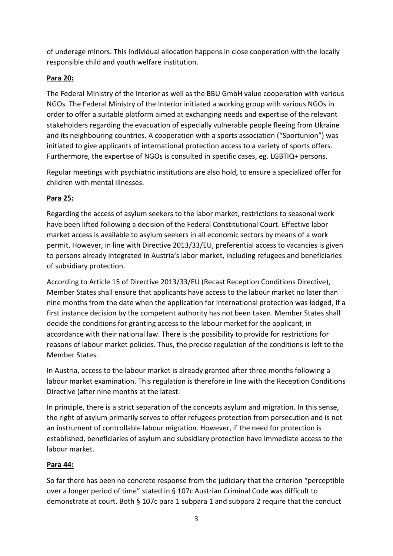of underage minors. This individual allocation happens in close cooperation with the locally responsible child and youth welfare institution.

## **Para 20:**

The Federal Ministry of the Interior as well as the BBU GmbH value cooperation with various NGOs. The Federal Ministry of the Interior initiated a working group with various NGOs in order to offer a suitable platform aimed at exchanging needs and expertise of the relevant stakeholders regarding the evacuation of especially vulnerable people fleeing from Ukraine and its neighbouring countries. A cooperation with a sports association ("Sportunion") was initiated to give applicants of international protection access to a variety of sports offers. Furthermore, the expertise of NGOs is consulted in specific cases, eg. LGBTIQ+ persons.

Regular meetings with psychiatric institutions are also hold, to ensure a specialized offer for children with mental illnesses.

## **Para 25:**

Regarding the access of asylum seekers to the labor market, restrictions to seasonal work have been lifted following a decision of the Federal Constitutional Court. Effective labor market access is available to asylum seekers in all economic sectors by means of a work permit. However, in line with Directive 2013/33/EU, preferential access to vacancies is given to persons already integrated in Austria's labor market, including refugees and beneficiaries of subsidiary protection.

According to Article 15 of Directive 2013/33/EU (Recast Reception Conditions Directive), Member States shall ensure that applicants have access to the labour market no later than nine months from the date when the application for international protection was lodged, if a first instance decision by the competent authority has not been taken. Member States shall decide the conditions for granting access to the labour market for the applicant, in accordance with their national law. There is the possibility to provide for restrictions for reasons of labour market policies. Thus, the precise regulation of the conditions is left to the Member States.

In Austria, access to the labour market is already granted after three months following a labour market examination. This regulation is therefore in line with the Reception Conditions Directive (after nine months at the latest.

In principle, there is a strict separation of the concepts asylum and migration. In this sense, the right of asylum primarily serves to offer refugees protection from persecution and is not an instrument of controllable labour migration. However, if the need for protection is established, beneficiaries of asylum and subsidiary protection have immediate access to the labour market.

## **Para 44:**

So far there has been no concrete response from the judiciary that the criterion "perceptible over a longer period of time" stated in § 107c Austrian Criminal Code was difficult to demonstrate at court. Both § 107c para 1 subpara 1 and subpara 2 require that the conduct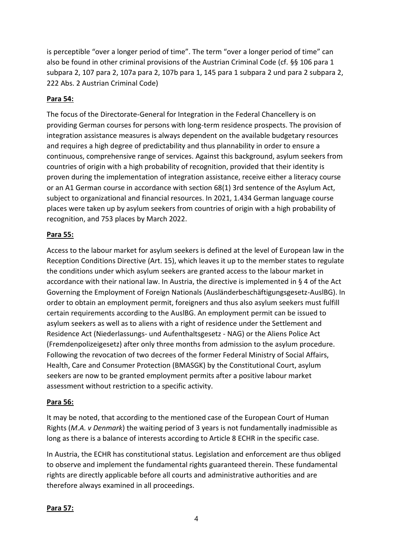is perceptible "over a longer period of time". The term "over a longer period of time" can also be found in other criminal provisions of the Austrian Criminal Code (cf. §§ 106 para 1 subpara 2, 107 para 2, 107a para 2, 107b para 1, 145 para 1 subpara 2 und para 2 subpara 2, 222 Abs. 2 Austrian Criminal Code)

## **Para 54:**

The focus of the Directorate-General for Integration in the Federal Chancellery is on providing German courses for persons with long-term residence prospects. The provision of integration assistance measures is always dependent on the available budgetary resources and requires a high degree of predictability and thus plannability in order to ensure a continuous, comprehensive range of services. Against this background, asylum seekers from countries of origin with a high probability of recognition, provided that their identity is proven during the implementation of integration assistance, receive either a literacy course or an A1 German course in accordance with section 68(1) 3rd sentence of the Asylum Act, subject to organizational and financial resources. In 2021, 1.434 German language course places were taken up by asylum seekers from countries of origin with a high probability of recognition, and 753 places by March 2022.

#### **Para 55:**

Access to the labour market for asylum seekers is defined at the level of European law in the Reception Conditions Directive (Art. 15), which leaves it up to the member states to regulate the conditions under which asylum seekers are granted access to the labour market in accordance with their national law. In Austria, the directive is implemented in § 4 of the Act Governing the Employment of Foreign Nationals (Ausländerbeschäftigungsgesetz-AuslBG). In order to obtain an employment permit, foreigners and thus also asylum seekers must fulfill certain requirements according to the AuslBG. An employment permit can be issued to asylum seekers as well as to aliens with a right of residence under the Settlement and Residence Act (Niederlassungs- und Aufenthaltsgesetz - NAG) or the Aliens Police Act (Fremdenpolizeigesetz) after only three months from admission to the asylum procedure. Following the revocation of two decrees of the former Federal Ministry of Social Affairs, Health, Care and Consumer Protection (BMASGK) by the Constitutional Court, asylum seekers are now to be granted employment permits after a positive labour market assessment without restriction to a specific activity.

#### **Para 56:**

It may be noted, that according to the mentioned case of the European Court of Human Rights (*M.A. v Denmark*) the waiting period of 3 years is not fundamentally inadmissible as long as there is a balance of interests according to Article 8 ECHR in the specific case.

In Austria, the ECHR has constitutional status. Legislation and enforcement are thus obliged to observe and implement the fundamental rights guaranteed therein. These fundamental rights are directly applicable before all courts and administrative authorities and are therefore always examined in all proceedings.

#### **Para 57:**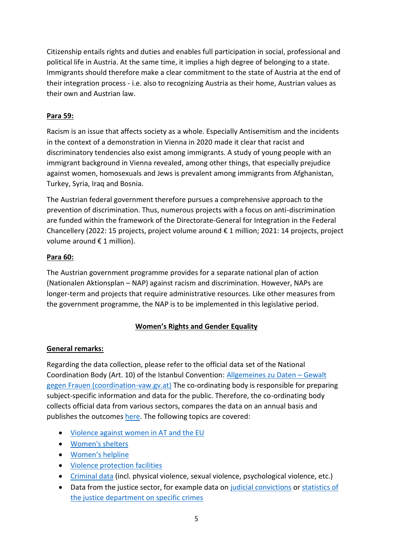Citizenship entails rights and duties and enables full participation in social, professional and political life in Austria. At the same time, it implies a high degree of belonging to a state. Immigrants should therefore make a clear commitment to the state of Austria at the end of their integration process - i.e. also to recognizing Austria as their home, Austrian values as their own and Austrian law.

## **Para 59:**

Racism is an issue that affects society as a whole. Especially Antisemitism and the incidents in the context of a demonstration in Vienna in 2020 made it clear that racist and discriminatory tendencies also exist among immigrants. A study of young people with an immigrant background in Vienna revealed, among other things, that especially prejudice against women, homosexuals and Jews is prevalent among immigrants from Afghanistan, Turkey, Syria, Iraq and Bosnia.

The Austrian federal government therefore pursues a comprehensive approach to the prevention of discrimination. Thus, numerous projects with a focus on anti-discrimination are funded within the framework of the Directorate-General for Integration in the Federal Chancellery (2022: 15 projects, project volume around € 1 million; 2021: 14 projects, project volume around € 1 million).

## **Para 60:**

The Austrian government programme provides for a separate national plan of action (Nationalen Aktionsplan – NAP) against racism and discrimination. However, NAPs are longer-term and projects that require administrative resources. Like other measures from the government programme, the NAP is to be implemented in this legislative period.

# **Women's Rights and Gender Equality**

# **General remarks:**

Regarding the data collection, please refer to the official data set of the National Coordination Body (Art. 10) of the Istanbul Convention: [Allgemeines zu Daten](http://www.coordination-vaw.gv.at/allgemeines-zu-daten/) – Gewalt [gegen Frauen \(coordination-vaw.gv.at\)](http://www.coordination-vaw.gv.at/allgemeines-zu-daten/) The co-ordinating body is responsible for preparing subject-specific information and data for the public. Therefore, the co-ordinating body collects official data from various sectors, compares the data on an annual basis and publishes the outcomes [here.](http://www.coordination-vaw.gv.at/daten/) The following topics are covered:

- [Violence against women in AT and the EU](http://www.coordination-vaw.gv.at/wp-content/uploads/2020/02/2020.02.10._Gewaltbetroffenheit_nach_Form_der_Gewalt_Partner_allg._FRA-Studie_Websiteversion.pdf)
- [Women's shelters](http://www.coordination-vaw.gv.at/wp-content/uploads/2020/12/2020.12.18._Statistiken_Frauenh%C3%A4user_Daten_2019.pdf)
- [Women's helpline](http://www.coordination-vaw.gv.at/wp-content/uploads/2020/12/2020.12.18._Statistiken_Frauenhelpline_Daten_2019.pdf)
- [Violence protection facilities](http://www.coordination-vaw.gv.at/wp-content/uploads/2020/12/2020.12.17._GSZ-Statistiken_2019.pdf)
- [Criminal data](http://www.coordination-vaw.gv.at/wp-content/uploads/2020/05/2020.04.30.-Auswertung-Sicherheitsbericht-2018.pdf) (incl. physical violence, sexual violence, psychological violence, etc.)
- Data from the justice sector, for example data on [judicial convictions](http://www.coordination-vaw.gv.at/wp-content/uploads/2020/12/2020.12.18._2019_Auswertungen_Justizdaten_nach_Delikt_Geschlecht_Alter.pdf) or statistics of [the justice department on specific crimes](http://www.coordination-vaw.gv.at/wp-content/uploads/2017/12/Tabelle_Anfall_Verurteilungsstatistik2014_2015x.pdf)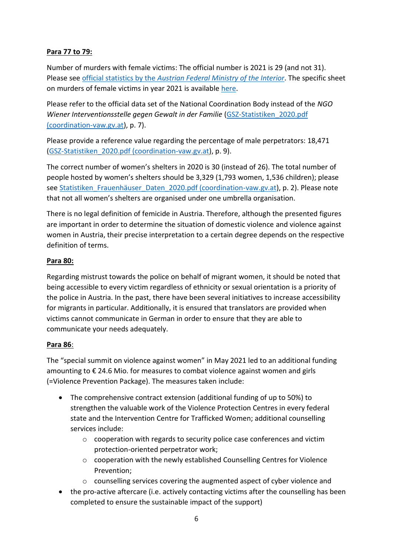#### **Para 77 to 79:**

Number of murders with female victims: The official number is 2021 is 29 (and not 31). Please see official statistics by the *[Austrian Federal Ministry of the Interior](https://bundeskriminalamt.at/501/start.aspx)*. The specific sheet on murders of female victims in year 2021 is available [here.](https://bundeskriminalamt.at/501/files/2022/Morde_weibliche_Opfer_2021.pdf)

Please refer to the official data set of the National Coordination Body instead of the *NGO Wiener Interventionsstelle gegen Gewalt in der Familie* [\(GSZ-Statistiken\\_2020.pdf](http://www.coordination-vaw.gv.at/wp-content/uploads/2021/08/2021.08.02._GSZ-Statistiken_2020.pdf)  [\(coordination-vaw.gv.at\)](http://www.coordination-vaw.gv.at/wp-content/uploads/2021/08/2021.08.02._GSZ-Statistiken_2020.pdf), p. 7).

Please provide a reference value regarding the percentage of male perpetrators: 18,471 [\(GSZ-Statistiken\\_2020.pdf \(coordination-vaw.gv.at\)](http://www.coordination-vaw.gv.at/wp-content/uploads/2021/08/2021.08.02._GSZ-Statistiken_2020.pdf), p. 9).

The correct number of women's shelters in 2020 is 30 (instead of 26). The total number of people hosted by women's shelters should be 3,329 (1,793 women, 1,536 children); please see Statistiken Frauenhäuser Daten 2020.pdf (coordination-vaw.gv.at), p. 2). Please note that not all women's shelters are organised under one umbrella organisation.

There is no legal definition of femicide in Austria. Therefore, although the presented figures are important in order to determine the situation of domestic violence and violence against women in Austria, their precise interpretation to a certain degree depends on the respective definition of terms.

#### **Para 80:**

Regarding mistrust towards the police on behalf of migrant women, it should be noted that being accessible to every victim regardless of ethnicity or sexual orientation is a priority of the police in Austria. In the past, there have been several initiatives to increase accessibility for migrants in particular. Additionally, it is ensured that translators are provided when victims cannot communicate in German in order to ensure that they are able to communicate your needs adequately.

#### **Para 86**:

The "special summit on violence against women" in May 2021 led to an additional funding amounting to  $\epsilon$  24.6 Mio. for measures to combat violence against women and girls (=Violence Prevention Package). The measures taken include:

- The comprehensive contract extension (additional funding of up to 50%) to strengthen the valuable work of the Violence Protection Centres in every federal state and the Intervention Centre for Trafficked Women; additional counselling services include:
	- $\circ$  cooperation with regards to security police case conferences and victim protection-oriented perpetrator work;
	- o cooperation with the newly established Counselling Centres for Violence Prevention;
	- $\circ$  counselling services covering the augmented aspect of cyber violence and
- the pro-active aftercare (i.e. actively contacting victims after the counselling has been completed to ensure the sustainable impact of the support)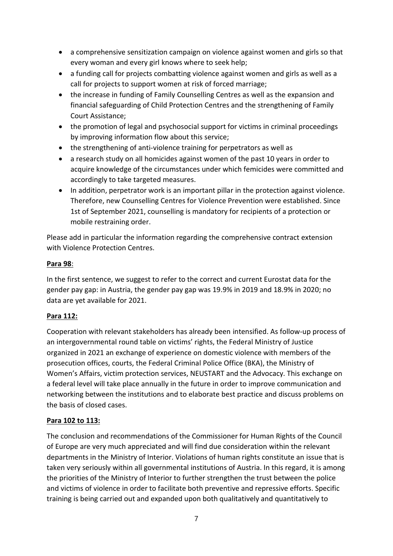- a comprehensive sensitization campaign on violence against women and girls so that every woman and every girl knows where to seek help;
- a funding call for projects combatting violence against women and girls as well as a call for projects to support women at risk of forced marriage;
- the increase in funding of Family Counselling Centres as well as the expansion and financial safeguarding of Child Protection Centres and the strengthening of Family Court Assistance;
- the promotion of legal and psychosocial support for victims in criminal proceedings by improving information flow about this service;
- the strengthening of anti-violence training for perpetrators as well as
- a research study on all homicides against women of the past 10 years in order to acquire knowledge of the circumstances under which femicides were committed and accordingly to take targeted measures.
- In addition, perpetrator work is an important pillar in the protection against violence. Therefore, new Counselling Centres for Violence Prevention were established. Since 1st of September 2021, counselling is mandatory for recipients of a protection or mobile restraining order.

Please add in particular the information regarding the comprehensive contract extension with Violence Protection Centres.

#### **Para 98**:

In the first sentence, we suggest to refer to the correct and current Eurostat data for the gender pay gap: in Austria, the gender pay gap was 19.9% in 2019 and 18.9% in 2020; no data are yet available for 2021.

## **Para 112:**

Cooperation with relevant stakeholders has already been intensified. As follow-up process of an intergovernmental round table on victims' rights, the Federal Ministry of Justice organized in 2021 an exchange of experience on domestic violence with members of the prosecution offices, courts, the Federal Criminal Police Office (BKA), the Ministry of Women's Affairs, victim protection services, NEUSTART and the Advocacy. This exchange on a federal level will take place annually in the future in order to improve communication and networking between the institutions and to elaborate best practice and discuss problems on the basis of closed cases.

## **Para 102 to 113:**

The conclusion and recommendations of the Commissioner for Human Rights of the Council of Europe are very much appreciated and will find due consideration within the relevant departments in the Ministry of Interior. Violations of human rights constitute an issue that is taken very seriously within all governmental institutions of Austria. In this regard, it is among the priorities of the Ministry of Interior to further strengthen the trust between the police and victims of violence in order to facilitate both preventive and repressive efforts. Specific training is being carried out and expanded upon both qualitatively and quantitatively to